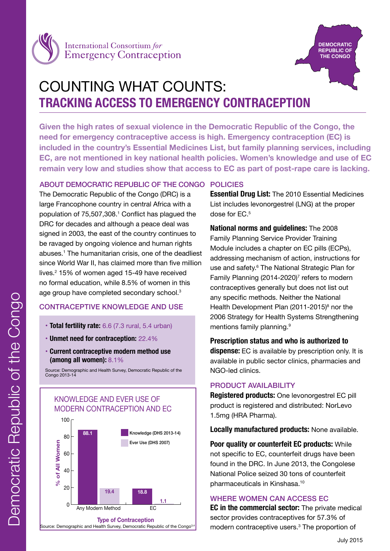



# COUNTING WHAT COUNTS: **TRACKING ACCESS TO EMERGENCY CONTRACEPTION**

**Given the high rates of sexual violence in the Democratic Republic of the Congo, the need for emergency contraceptive access is high. Emergency contraception (EC) is included in the country's Essential Medicines List, but family planning services, including EC, are not mentioned in key national health policies. Women's knowledge and use of EC remain very low and studies show that access to EC as part of post-rape care is lacking.** 

# ABOUT DEMOCRATIC REPUBLIC OF THE CONGO POLICIES

The Democratic Republic of the Congo (DRC) is a large Francophone country in central Africa with a population of 75,507,308.1 Conflict has plagued the DRC for decades and although a peace deal was signed in 2003, the east of the country continues to be ravaged by ongoing violence and human rights abuses.1 The humanitarian crisis, one of the deadliest since World War II, has claimed more than five million lives.2 15% of women aged 15-49 have received no formal education, while 8.5% of women in this age group have completed secondary school.<sup>3</sup>

## CONTRACEPTIVE KNOWLEDGE AND USE

- **Total fertility rate:** 6.6 (7.3 rural, 5.4 urban)
- **Unmet need for contraception:** 22.4%
- **Current contraceptive modern method use (among all women):** 8.1%

Source: Demographic and Health Survey, Democratic Republic of the Congo 2013-14

# KNOWLEDGE AND EVER USE OF MODERN CONTRACEPTION AND EC



Source: Demographic and Health Survey, Democratic Republic of the Congo<sup>3,4</sup>

**Essential Drug List:** The 2010 Essential Medicines List includes levonorgestrel (LNG) at the proper dose for EC.<sup>5</sup>

**National norms and guidelines:** The 2008 Family Planning Service Provider Training Module includes a chapter on EC pills (ECPs), addressing mechanism of action, instructions for use and safety.<sup>6</sup> The National Strategic Plan for Family Planning  $(2014-2020)^7$  refers to modern contraceptives generally but does not list out any specific methods. Neither the National Health Development Plan (2011-2015)<sup>8</sup> nor the 2006 Strategy for Health Systems Strengthening mentions family planning.<sup>9</sup>

**Prescription status and who is authorized to dispense:** EC is available by prescription only. It is available in public sector clinics, pharmacies and NGO-led clinics.

# PRODUCT AVAILABILITY

**Registered products:** One levonorgestrel EC pill product is registered and distributed: NorLevo 1.5mg (HRA Pharma).

**Locally manufactured products:** None available.

**Poor quality or counterfeit EC products:** While not specific to EC, counterfeit drugs have been found in the DRC. In June 2013, the Congolese National Police seized 30 tons of counterfeit pharmaceuticals in Kinshasa.10

## WHERE WOMEN CAN ACCESS EC

**EC in the commercial sector:** The private medical sector provides contraceptives for 57.3% of modern contraceptive users.<sup>3</sup> The proportion of